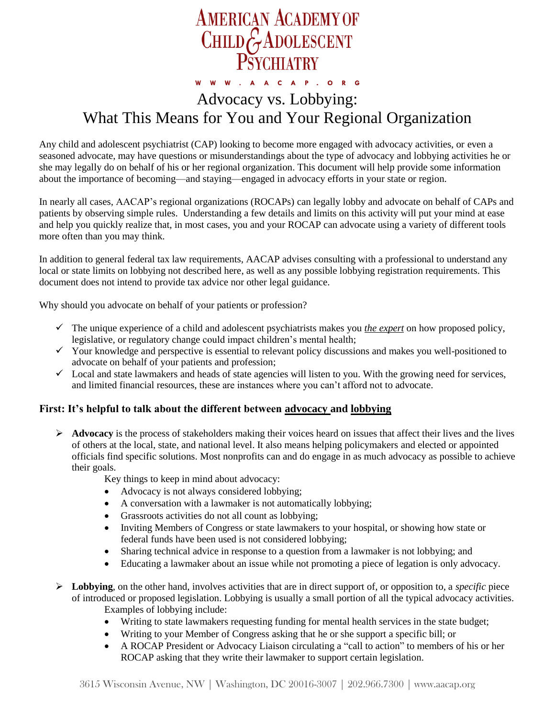

# Advocacy vs. Lobbying: What This Means for You and Your Regional Organization

Any child and adolescent psychiatrist (CAP) looking to become more engaged with advocacy activities, or even a seasoned advocate, may have questions or misunderstandings about the type of advocacy and lobbying activities he or she may legally do on behalf of his or her regional organization. This document will help provide some information about the importance of becoming—and staying—engaged in advocacy efforts in your state or region.

In nearly all cases, AACAP's regional organizations (ROCAPs) can legally lobby and advocate on behalf of CAPs and patients by observing simple rules. Understanding a few details and limits on this activity will put your mind at ease and help you quickly realize that, in most cases, you and your ROCAP can advocate using a variety of different tools more often than you may think.

In addition to general federal tax law requirements, AACAP advises consulting with a professional to understand any local or state limits on lobbying not described here, as well as any possible lobbying registration requirements. This document does not intend to provide tax advice nor other legal guidance.

Why should you advocate on behalf of your patients or profession?

- $\checkmark$  The unique experience of a child and adolescent psychiatrists makes you *the expert* on how proposed policy, legislative, or regulatory change could impact children's mental health;
- $\checkmark$  Your knowledge and perspective is essential to relevant policy discussions and makes you well-positioned to advocate on behalf of your patients and profession;
- $\checkmark$  Local and state lawmakers and heads of state agencies will listen to you. With the growing need for services, and limited financial resources, these are instances where you can't afford not to advocate.

### **First: It's helpful to talk about the different between advocacy and lobbying**

 $\triangleright$  **Advocacy** is the process of stakeholders making their voices heard on issues that affect their lives and the lives of others at the local, state, and national level. It also means helping policymakers and elected or appointed officials find specific solutions. Most nonprofits can and do engage in as much advocacy as possible to achieve their goals.

Key things to keep in mind about advocacy:

- Advocacy is not always considered lobbying;
- A conversation with a lawmaker is not automatically lobbying;
- Grassroots activities do not all count as lobbying;
- Inviting Members of Congress or state lawmakers to your hospital, or showing how state or federal funds have been used is not considered lobbying;
- Sharing technical advice in response to a question from a lawmaker is not lobbying; and
- Educating a lawmaker about an issue while not promoting a piece of legation is only advocacy.
- $\triangleright$  **Lobbying**, on the other hand, involves activities that are in direct support of, or opposition to, a *specific* piece of introduced or proposed legislation. Lobbying is usually a small portion of all the typical advocacy activities. Examples of lobbying include:
	- Writing to state lawmakers requesting funding for mental health services in the state budget;
	- Writing to your Member of Congress asking that he or she support a specific bill; or
	- A ROCAP President or Advocacy Liaison circulating a "call to action" to members of his or her ROCAP asking that they write their lawmaker to support certain legislation.